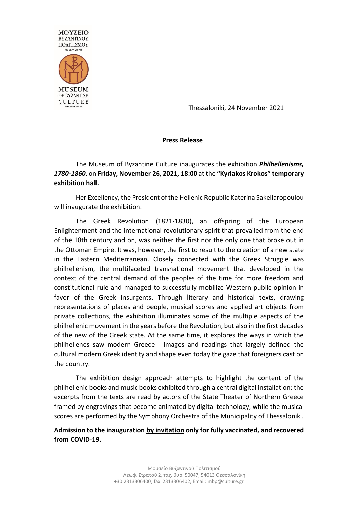

Thessaloniki, 24 November 2021

## **Press Release**

The Museum of Byzantine Culture inaugurates the exhibition *Philhellenisms, 1780-1860*, on **Friday, November 26, 2021, 18:00** at the **"Kyriakos Krokos" temporary exhibition hall.**

Her Excellency, the President of the Hellenic Republic Katerina Sakellaropoulou will inaugurate the exhibition.

The Greek Revolution (1821-1830), an offspring of the European Enlightenment and the international revolutionary spirit that prevailed from the end of the 18th century and on, was neither the first nor the only one that broke out in the Ottoman Empire. It was, however, the first to result to the creation of a new state in the Eastern Mediterranean. Closely connected with the Greek Struggle was philhellenism, the multifaceted transnational movement that developed in the context of the central demand of the peoples of the time for more freedom and constitutional rule and managed to successfully mobilize Western public opinion in favor of the Greek insurgents. Through literary and historical texts, drawing representations of places and people, musical scores and applied art objects from private collections, the exhibition illuminates some of the multiple aspects of the philhellenic movement in the years before the Revolution, but also in the first decades of the new of the Greek state. At the same time, it explores the ways in which the philhellenes saw modern Greece - images and readings that largely defined the cultural modern Greek identity and shape even today the gaze that foreigners cast on the country.

The exhibition design approach attempts to highlight the content of the philhellenic books and music books exhibited through a central digital installation: the excerpts from the texts are read by actors of the State Theater of Northern Greece framed by engravings that become animated by digital technology, while the musical scores are performed by the Symphony Orchestra of the Municipality of Thessaloniki.

## **Admission to the inauguration by invitation only for fully vaccinated, and recovered from COVID-19.**